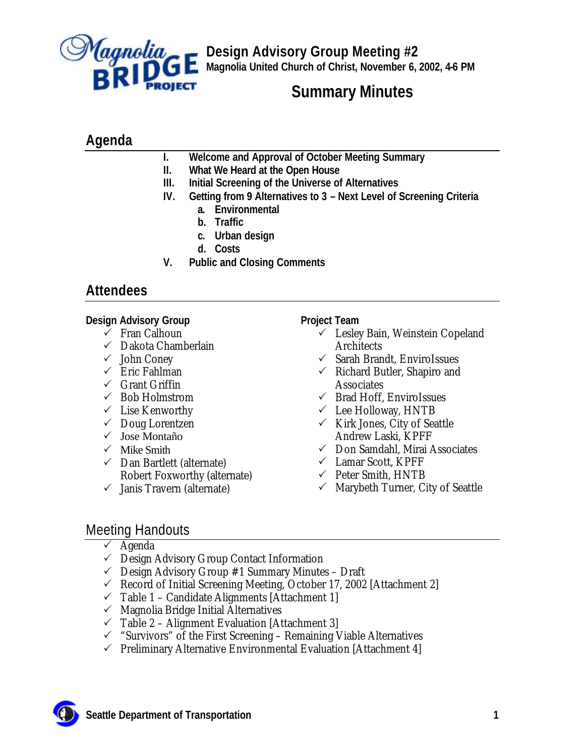

**Design Advisory Group Meeting #2 Magnolia United Church of Christ, November 6, 2002, 4-6 PM**

# **Summary Minutes**

# **Agenda**

- **I. Welcome and Approval of October Meeting Summary**
- **II. What We Heard at the Open House**
- **III. Initial Screening of the Universe of Alternatives**
- **IV. Getting from 9 Alternatives to 3 Next Level of Screening Criteria**
	- **a. Environmental**
	- **b. Traffic**
	- **c. Urban design**
	- **d. Costs**
- **V. Public and Closing Comments**

# **Attendees**

### **Design Advisory Group**

- $\checkmark$  Fran Calhoun
- $\checkmark$  Dakota Chamberlain
- $\checkmark$  John Coney
- $\checkmark$  Eric Fahlman
- $\checkmark$  Grant Griffin
- $\checkmark$  Bob Holmstrom
- $\checkmark$  Lise Kenworthy
- $\checkmark$  Doug Lorentzen
- $\checkmark$  Jose Montaño
- $\checkmark$  Mike Smith
- $\checkmark$  Dan Bartlett (alternate) Robert Foxworthy (alternate)
- $\checkmark$  Janis Travern (alternate)

### **Project Team**

- $\checkmark$  Lesley Bain, Weinstein Copeland **Architects**
- $\checkmark$  Sarah Brandt, EnviroIssues
- $\checkmark$  Richard Butler, Shapiro and **Associates**
- $\checkmark$  Brad Hoff, EnviroIssues
- $\checkmark$  Lee Holloway, HNTB
- $\checkmark$  Kirk Jones, City of Seattle Andrew Laski, KPFF
- $\checkmark$  Don Samdahl, Mirai Associates
- $\checkmark$  Lamar Scott, KPFF
- $\checkmark$  Peter Smith, HNTB
- $\checkmark$  Marybeth Turner, City of Seattle

## Meeting Handouts

- $\checkmark$  Agenda
- $\checkmark$  Design Advisory Group Contact Information
- $\checkmark$  Design Advisory Group #1 Summary Minutes Draft
- $\checkmark$  Record of Initial Screening Meeting, October 17, 2002 [Attachment 2]
- $\checkmark$  Table 1 Candidate Alignments [Attachment 1]
- $\checkmark$  Magnolia Bridge Initial Alternatives
- $\checkmark$  Table 2 Alignment Evaluation [Attachment 3]
- $\checkmark$  "Survivors" of the First Screening Remaining Viable Alternatives
- $\checkmark$  Preliminary Alternative Environmental Evaluation [Attachment 4]

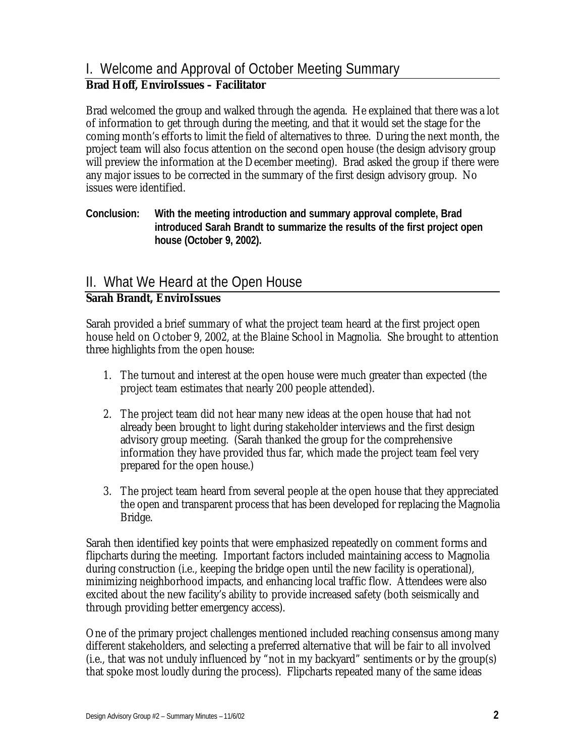# I. Welcome and Approval of October Meeting Summary

### **Brad Hoff, EnviroIssues – Facilitator**

Brad welcomed the group and walked through the agenda. He explained that there was a lot of information to get through during the meeting, and that it would set the stage for the coming month's efforts to limit the field of alternatives to three. During the next month, the project team will also focus attention on the second open house (the design advisory group will preview the information at the December meeting). Brad asked the group if there were any major issues to be corrected in the summary of the first design advisory group. No issues were identified.

**Conclusion: With the meeting introduction and summary approval complete, Brad introduced Sarah Brandt to summarize the results of the first project open house (October 9, 2002).**

# II. What We Heard at the Open House

#### **Sarah Brandt, EnviroIssues**

Sarah provided a brief summary of what the project team heard at the first project open house held on October 9, 2002, at the Blaine School in Magnolia. She brought to attention three highlights from the open house:

- 1. The turnout and interest at the open house were much greater than expected (the project team estimates that nearly 200 people attended).
- 2. The project team did not hear many new ideas at the open house that had not already been brought to light during stakeholder interviews and the first design advisory group meeting. (Sarah thanked the group for the comprehensive information they have provided thus far, which made the project team feel very prepared for the open house.)
- 3. The project team heard from several people at the open house that they appreciated the open and transparent process that has been developed for replacing the Magnolia Bridge.

Sarah then identified key points that were emphasized repeatedly on comment forms and flipcharts during the meeting. Important factors included maintaining access to Magnolia during construction (i.e., keeping the bridge open until the new facility is operational), minimizing neighborhood impacts, and enhancing local traffic flow. Attendees were also excited about the new facility's ability to provide increased safety (both seismically and through providing better emergency access).

One of the primary project challenges mentioned included reaching consensus among many different stakeholders, and selecting a preferred alternative that will be fair to all involved (i.e., that was not unduly influenced by "not in my backyard" sentiments or by the group(s) that spoke most loudly during the process). Flipcharts repeated many of the same ideas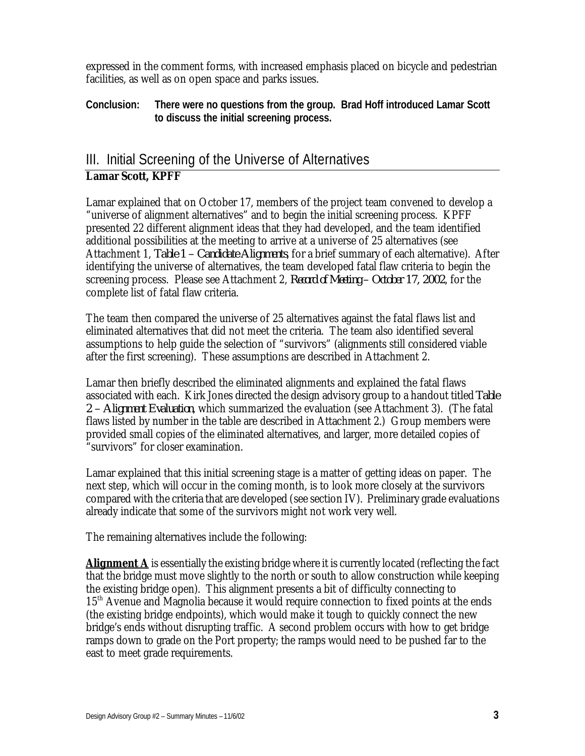expressed in the comment forms, with increased emphasis placed on bicycle and pedestrian facilities, as well as on open space and parks issues.

**Conclusion: There were no questions from the group. Brad Hoff introduced Lamar Scott to discuss the initial screening process.**

# III. Initial Screening of the Universe of Alternatives **Lamar Scott, KPFF**

Lamar explained that on October 17, members of the project team convened to develop a "universe of alignment alternatives" and to begin the initial screening process. KPFF presented 22 different alignment ideas that they had developed, and the team identified additional possibilities at the meeting to arrive at a universe of 25 alternatives (see Attachment 1, *Table 1 – Candidate Alignments*, for a brief summary of each alternative). After identifying the universe of alternatives, the team developed fatal flaw criteria to begin the screening process. Please see Attachment 2, *Record of Meeting – October 17, 2002*, for the complete list of fatal flaw criteria.

The team then compared the universe of 25 alternatives against the fatal flaws list and eliminated alternatives that did not meet the criteria. The team also identified several assumptions to help guide the selection of "survivors" (alignments still considered viable after the first screening). These assumptions are described in Attachment 2.

Lamar then briefly described the eliminated alignments and explained the fatal flaws associated with each. Kirk Jones directed the design advisory group to a handout titled *Table 2 – Alignment Evaluation*, which summarized the evaluation (see Attachment 3). (The fatal flaws listed by number in the table are described in Attachment 2.) Group members were provided small copies of the eliminated alternatives, and larger, more detailed copies of "survivors" for closer examination.

Lamar explained that this initial screening stage is a matter of getting ideas on paper. The next step, which will occur in the coming month, is to look more closely at the survivors compared with the criteria that are developed (see section IV). Preliminary grade evaluations already indicate that some of the survivors might not work very well.

The remaining alternatives include the following:

**Alignment A** is essentially the existing bridge where it is currently located (reflecting the fact that the bridge must move slightly to the north or south to allow construction while keeping the existing bridge open). This alignment presents a bit of difficulty connecting to 15<sup>th</sup> Avenue and Magnolia because it would require connection to fixed points at the ends (the existing bridge endpoints), which would make it tough to quickly connect the new bridge's ends without disrupting traffic. A second problem occurs with how to get bridge ramps down to grade on the Port property; the ramps would need to be pushed far to the east to meet grade requirements.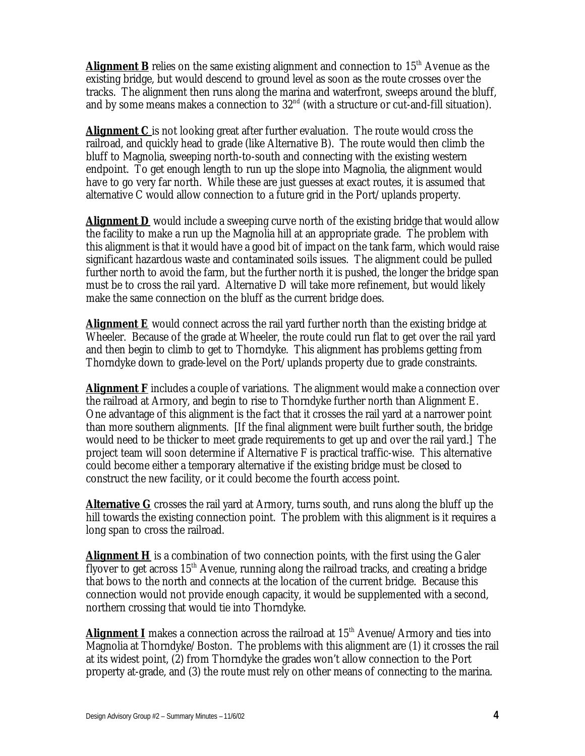**Alignment B** relies on the same existing alignment and connection to  $15<sup>th</sup>$  Avenue as the existing bridge, but would descend to ground level as soon as the route crosses over the tracks. The alignment then runs along the marina and waterfront, sweeps around the bluff, and by some means makes a connection to  $32<sup>nd</sup>$  (with a structure or cut-and-fill situation).

**Alignment C** is not looking great after further evaluation. The route would cross the railroad, and quickly head to grade (like Alternative B). The route would then climb the bluff to Magnolia, sweeping north-to-south and connecting with the existing western endpoint. To get enough length to run up the slope into Magnolia, the alignment would have to go very far north. While these are just guesses at exact routes, it is assumed that alternative C would allow connection to a future grid in the Port/uplands property.

**Alignment D** would include a sweeping curve north of the existing bridge that would allow the facility to make a run up the Magnolia hill at an appropriate grade. The problem with this alignment is that it would have a good bit of impact on the tank farm, which would raise significant hazardous waste and contaminated soils issues. The alignment could be pulled further north to avoid the farm, but the further north it is pushed, the longer the bridge span must be to cross the rail yard. Alternative D will take more refinement, but would likely make the same connection on the bluff as the current bridge does.

**Alignment E** would connect across the rail yard further north than the existing bridge at Wheeler. Because of the grade at Wheeler, the route could run flat to get over the rail yard and then begin to climb to get to Thorndyke. This alignment has problems getting from Thorndyke down to grade-level on the Port/uplands property due to grade constraints.

**Alignment F** includes a couple of variations. The alignment would make a connection over the railroad at Armory, and begin to rise to Thorndyke further north than Alignment E. One advantage of this alignment is the fact that it crosses the rail yard at a narrower point than more southern alignments. [If the final alignment were built further south, the bridge would need to be thicker to meet grade requirements to get up and over the rail yard.] The project team will soon determine if Alternative F is practical traffic-wise. This alternative could become either a temporary alternative if the existing bridge must be closed to construct the new facility, or it could become the fourth access point.

**Alternative G** crosses the rail yard at Armory, turns south, and runs along the bluff up the hill towards the existing connection point. The problem with this alignment is it requires a long span to cross the railroad.

**Alignment H** is a combination of two connection points, with the first using the Galer flyover to get across  $15<sup>th</sup>$  Avenue, running along the railroad tracks, and creating a bridge that bows to the north and connects at the location of the current bridge. Because this connection would not provide enough capacity, it would be supplemented with a second, northern crossing that would tie into Thorndyke.

**Alignment I** makes a connection across the railroad at 15<sup>th</sup> Avenue/Armory and ties into Magnolia at Thorndyke/Boston. The problems with this alignment are (1) it crosses the rail at its widest point, (2) from Thorndyke the grades won't allow connection to the Port property at-grade, and (3) the route must rely on other means of connecting to the marina.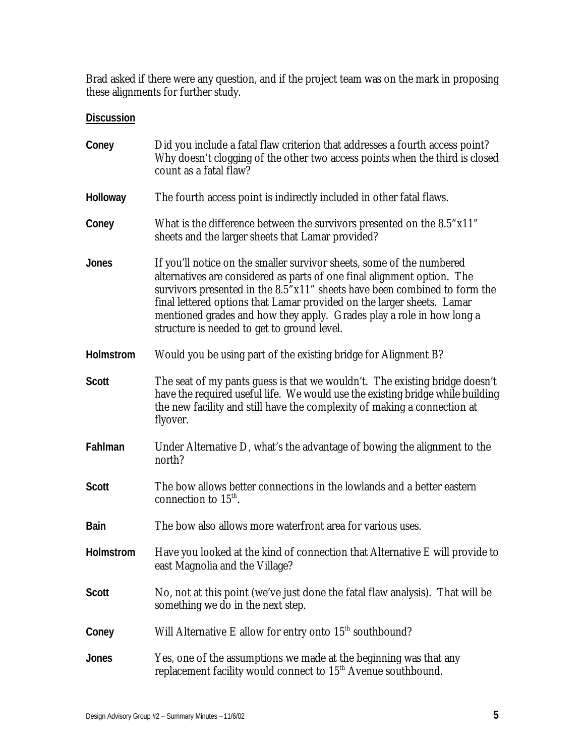Brad asked if there were any question, and if the project team was on the mark in proposing these alignments for further study.

| Coney        | Did you include a fatal flaw criterion that addresses a fourth access point?<br>Why doesn't clogging of the other two access points when the third is closed<br>count as a fatal flaw?                                                                                                                                                                                                                                          |
|--------------|---------------------------------------------------------------------------------------------------------------------------------------------------------------------------------------------------------------------------------------------------------------------------------------------------------------------------------------------------------------------------------------------------------------------------------|
| Holloway     | The fourth access point is indirectly included in other fatal flaws.                                                                                                                                                                                                                                                                                                                                                            |
| Coney        | What is the difference between the survivors presented on the 8.5"x11"<br>sheets and the larger sheets that Lamar provided?                                                                                                                                                                                                                                                                                                     |
| Jones        | If you'll notice on the smaller survivor sheets, some of the numbered<br>alternatives are considered as parts of one final alignment option. The<br>survivors presented in the 8.5"x11" sheets have been combined to form the<br>final lettered options that Lamar provided on the larger sheets. Lamar<br>mentioned grades and how they apply. Grades play a role in how long a<br>structure is needed to get to ground level. |
| Holmstrom    | Would you be using part of the existing bridge for Alignment B?                                                                                                                                                                                                                                                                                                                                                                 |
| <b>Scott</b> | The seat of my pants guess is that we wouldn't. The existing bridge doesn't<br>have the required useful life. We would use the existing bridge while building<br>the new facility and still have the complexity of making a connection at<br>flyover.                                                                                                                                                                           |
| Fahlman      | Under Alternative D, what's the advantage of bowing the alignment to the<br>north?                                                                                                                                                                                                                                                                                                                                              |
| <b>Scott</b> | The bow allows better connections in the lowlands and a better eastern<br>connection to $15^{\text{th}}$ .                                                                                                                                                                                                                                                                                                                      |
| <b>Bain</b>  | The bow also allows more waterfront area for various uses.                                                                                                                                                                                                                                                                                                                                                                      |
| Holmstrom    | Have you looked at the kind of connection that Alternative E will provide to<br>east Magnolia and the Village?                                                                                                                                                                                                                                                                                                                  |
| <b>Scott</b> | No, not at this point (we've just done the fatal flaw analysis). That will be<br>something we do in the next step.                                                                                                                                                                                                                                                                                                              |
| Coney        | Will Alternative E allow for entry onto $15th$ southbound?                                                                                                                                                                                                                                                                                                                                                                      |
| Jones        | Yes, one of the assumptions we made at the beginning was that any<br>replacement facility would connect to 15 <sup>th</sup> Avenue southbound.                                                                                                                                                                                                                                                                                  |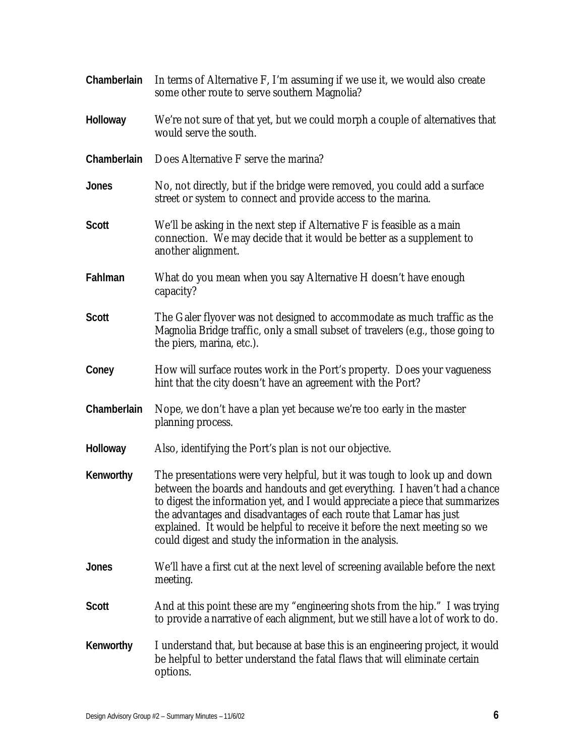| Chamberlain  | In terms of Alternative F, I'm assuming if we use it, we would also create<br>some other route to serve southern Magnolia?                                                                                                                                                                                                                                                                                                                              |
|--------------|---------------------------------------------------------------------------------------------------------------------------------------------------------------------------------------------------------------------------------------------------------------------------------------------------------------------------------------------------------------------------------------------------------------------------------------------------------|
| Holloway     | We're not sure of that yet, but we could morph a couple of alternatives that<br>would serve the south.                                                                                                                                                                                                                                                                                                                                                  |
| Chamberlain  | Does Alternative F serve the marina?                                                                                                                                                                                                                                                                                                                                                                                                                    |
| <b>Jones</b> | No, not directly, but if the bridge were removed, you could add a surface<br>street or system to connect and provide access to the marina.                                                                                                                                                                                                                                                                                                              |
| <b>Scott</b> | We'll be asking in the next step if Alternative F is feasible as a main<br>connection. We may decide that it would be better as a supplement to<br>another alignment.                                                                                                                                                                                                                                                                                   |
| Fahlman      | What do you mean when you say Alternative H doesn't have enough<br>capacity?                                                                                                                                                                                                                                                                                                                                                                            |
| <b>Scott</b> | The Galer flyover was not designed to accommodate as much traffic as the<br>Magnolia Bridge traffic, only a small subset of travelers (e.g., those going to<br>the piers, marina, etc.).                                                                                                                                                                                                                                                                |
| Coney        | How will surface routes work in the Port's property. Does your vagueness<br>hint that the city doesn't have an agreement with the Port?                                                                                                                                                                                                                                                                                                                 |
| Chamberlain  | Nope, we don't have a plan yet because we're too early in the master<br>planning process.                                                                                                                                                                                                                                                                                                                                                               |
| Holloway     | Also, identifying the Port's plan is not our objective.                                                                                                                                                                                                                                                                                                                                                                                                 |
| Kenworthy    | The presentations were very helpful, but it was tough to look up and down<br>between the boards and handouts and get everything. I haven't had a chance<br>to digest the information yet, and I would appreciate a piece that summarizes<br>the advantages and disadvantages of each route that Lamar has just<br>explained. It would be helpful to receive it before the next meeting so we<br>could digest and study the information in the analysis. |
| Jones        | We'll have a first cut at the next level of screening available before the next<br>meeting.                                                                                                                                                                                                                                                                                                                                                             |
| <b>Scott</b> | And at this point these are my "engineering shots from the hip." I was trying<br>to provide a narrative of each alignment, but we still have a lot of work to do.                                                                                                                                                                                                                                                                                       |
| Kenworthy    | I understand that, but because at base this is an engineering project, it would<br>be helpful to better understand the fatal flaws that will eliminate certain<br>options.                                                                                                                                                                                                                                                                              |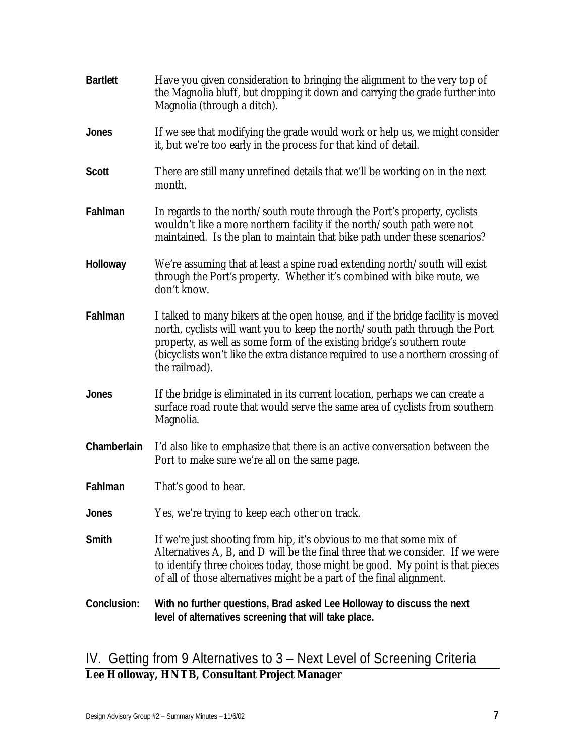| <b>Bartlett</b> | Have you given consideration to bringing the alignment to the very top of<br>the Magnolia bluff, but dropping it down and carrying the grade further into<br>Magnolia (through a ditch).                                                                                                                                                      |
|-----------------|-----------------------------------------------------------------------------------------------------------------------------------------------------------------------------------------------------------------------------------------------------------------------------------------------------------------------------------------------|
| Jones           | If we see that modifying the grade would work or help us, we might consider<br>it, but we're too early in the process for that kind of detail.                                                                                                                                                                                                |
| Scott           | There are still many unrefined details that we'll be working on in the next<br>month.                                                                                                                                                                                                                                                         |
| Fahlman         | In regards to the north/south route through the Port's property, cyclists<br>wouldn't like a more northern facility if the north/south path were not<br>maintained. Is the plan to maintain that bike path under these scenarios?                                                                                                             |
| Holloway        | We're assuming that at least a spine road extending north/south will exist<br>through the Port's property. Whether it's combined with bike route, we<br>don't know.                                                                                                                                                                           |
| Fahlman         | I talked to many bikers at the open house, and if the bridge facility is moved<br>north, cyclists will want you to keep the north/south path through the Port<br>property, as well as some form of the existing bridge's southern route<br>(bicyclists won't like the extra distance required to use a northern crossing of<br>the railroad). |
| Jones           | If the bridge is eliminated in its current location, perhaps we can create a<br>surface road route that would serve the same area of cyclists from southern<br>Magnolia.                                                                                                                                                                      |
| Chamberlain     | I'd also like to emphasize that there is an active conversation between the<br>Port to make sure we're all on the same page.                                                                                                                                                                                                                  |
| Fahlman         | That's good to hear.                                                                                                                                                                                                                                                                                                                          |
| Jones           | Yes, we're trying to keep each other on track.                                                                                                                                                                                                                                                                                                |
| Smith           | If we're just shooting from hip, it's obvious to me that some mix of<br>Alternatives A, B, and D will be the final three that we consider. If we were<br>to identify three choices today, those might be good. My point is that pieces<br>of all of those alternatives might be a part of the final alignment.                                |
| Conclusion:     | With no further questions, Brad asked Lee Holloway to discuss the next<br>level of alternatives screening that will take place.                                                                                                                                                                                                               |

# IV. Getting from 9 Alternatives to 3 – Next Level of Screening Criteria **Lee Holloway, HNTB, Consultant Project Manager**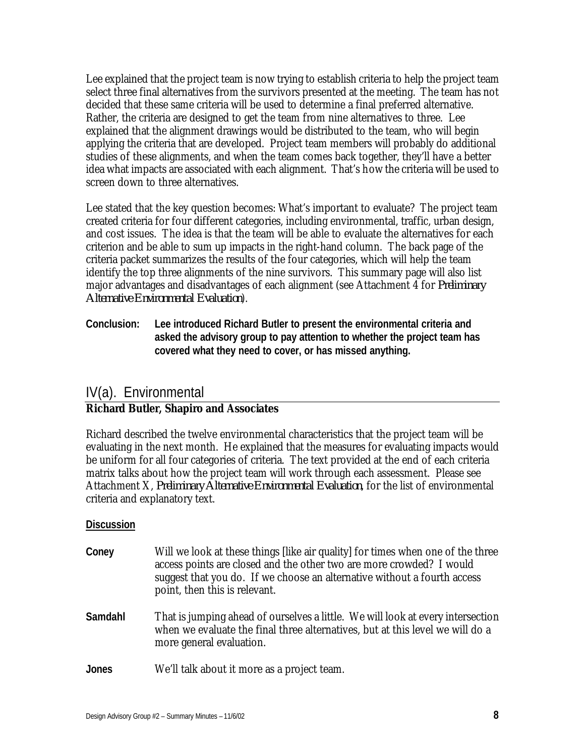Lee explained that the project team is now trying to establish criteria to help the project team select three final alternatives from the survivors presented at the meeting. The team has not decided that these same criteria will be used to determine a final preferred alternative. Rather, the criteria are designed to get the team from nine alternatives to three. Lee explained that the alignment drawings would be distributed to the team, who will begin applying the criteria that are developed. Project team members will probably do additional studies of these alignments, and when the team comes back together, they'll have a better idea what impacts are associated with each alignment. That's how the criteria will be used to screen down to three alternatives.

Lee stated that the key question becomes: What's important to evaluate? The project team created criteria for four different categories, including environmental, traffic, urban design, and cost issues. The idea is that the team will be able to evaluate the alternatives for each criterion and be able to sum up impacts in the right-hand column. The back page of the criteria packet summarizes the results of the four categories, which will help the team identify the top three alignments of the nine survivors. This summary page will also list major advantages and disadvantages of each alignment (see Attachment 4 for *Preliminary Alternative Environmental Evaluation*).

**Conclusion: Lee introduced Richard Butler to present the environmental criteria and asked the advisory group to pay attention to whether the project team has covered what they need to cover, or has missed anything.** 

## IV(a). Environmental

#### **Richard Butler, Shapiro and Associates**

Richard described the twelve environmental characteristics that the project team will be evaluating in the next month. He explained that the measures for evaluating impacts would be uniform for all four categories of criteria. The text provided at the end of each criteria matrix talks about how the project team will work through each assessment. Please see Attachment X, *Preliminary Alternative Environmental Evaluation*, for the list of environmental criteria and explanatory text.

| Coney   | Will we look at these things like air quality for times when one of the three<br>access points are closed and the other two are more crowded? I would<br>suggest that you do. If we choose an alternative without a fourth access<br>point, then this is relevant. |
|---------|--------------------------------------------------------------------------------------------------------------------------------------------------------------------------------------------------------------------------------------------------------------------|
| Samdahl | That is jumping ahead of ourselves a little. We will look at every intersection<br>when we evaluate the final three alternatives, but at this level we will do a<br>more general evaluation.                                                                       |
| Jones   | We'll talk about it more as a project team.                                                                                                                                                                                                                        |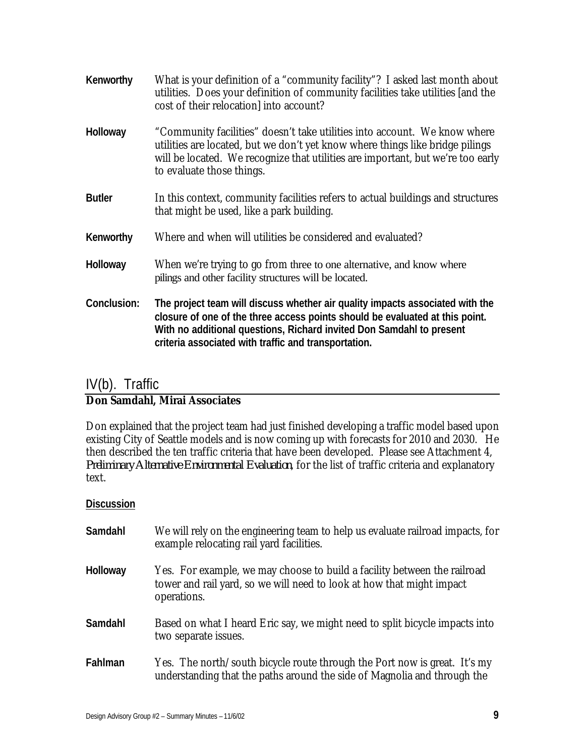| Kenworthy     | What is your definition of a "community facility"? I asked last month about<br>utilities. Does your definition of community facilities take utilities [and the<br>cost of their relocation into account?                                                                                      |
|---------------|-----------------------------------------------------------------------------------------------------------------------------------------------------------------------------------------------------------------------------------------------------------------------------------------------|
| Holloway      | "Community facilities" doesn't take utilities into account. We know where<br>utilities are located, but we don't yet know where things like bridge pilings<br>will be located. We recognize that utilities are important, but we're too early<br>to evaluate those things.                    |
| <b>Butler</b> | In this context, community facilities refers to actual buildings and structures<br>that might be used, like a park building.                                                                                                                                                                  |
| Kenworthy     | Where and when will utilities be considered and evaluated?                                                                                                                                                                                                                                    |
| Holloway      | When we're trying to go from three to one alternative, and know where<br>pilings and other facility structures will be located.                                                                                                                                                               |
| Conclusion:   | The project team will discuss whether air quality impacts associated with the<br>closure of one of the three access points should be evaluated at this point.<br>With no additional questions, Richard invited Don Samdahl to present<br>criteria associated with traffic and transportation. |

### IV(b). Traffic **Don Samdahl, Mirai Associates**

Don explained that the project team had just finished developing a traffic model based upon existing City of Seattle models and is now coming up with forecasts for 2010 and 2030. He then described the ten traffic criteria that have been developed. Please see Attachment 4, *Preliminary Alternative Environmental Evaluation*, for the list of traffic criteria and explanatory text.

| Samdahl         | We will rely on the engineering team to help us evaluate railroad impacts, for<br>example relocating rail yard facilities.                                       |
|-----------------|------------------------------------------------------------------------------------------------------------------------------------------------------------------|
| <b>Holloway</b> | Yes. For example, we may choose to build a facility between the railroad<br>tower and rail yard, so we will need to look at how that might impact<br>operations. |
| Samdahl         | Based on what I heard Eric say, we might need to split bicycle impacts into<br>two separate issues.                                                              |
| Fahlman         | Yes. The north/south bicycle route through the Port now is great. It's my<br>understanding that the paths around the side of Magnolia and through the            |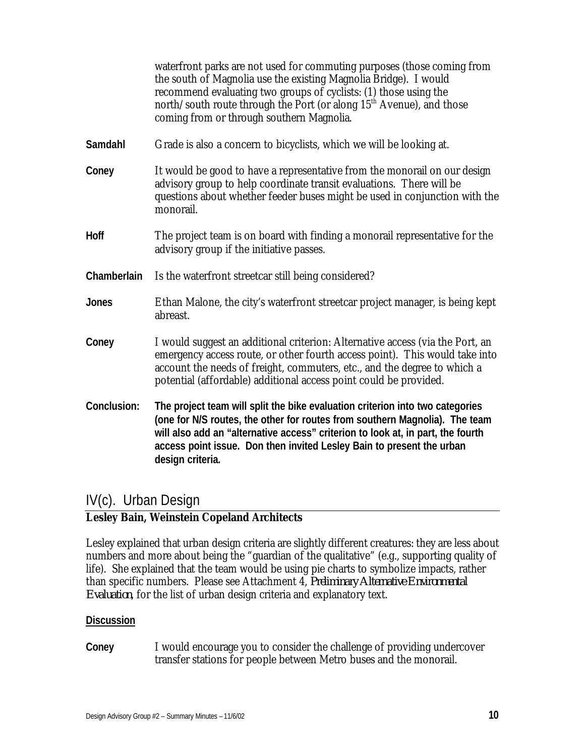|             | waterfront parks are not used for commuting purposes (those coming from<br>the south of Magnolia use the existing Magnolia Bridge). I would<br>recommend evaluating two groups of cyclists: (1) those using the<br>north/south route through the Port (or along 15 <sup>th</sup> Avenue), and those<br>coming from or through southern Magnolia. |
|-------------|--------------------------------------------------------------------------------------------------------------------------------------------------------------------------------------------------------------------------------------------------------------------------------------------------------------------------------------------------|
| Samdahl     | Grade is also a concern to bicyclists, which we will be looking at.                                                                                                                                                                                                                                                                              |
| Coney       | It would be good to have a representative from the monorail on our design<br>advisory group to help coordinate transit evaluations. There will be<br>questions about whether feeder buses might be used in conjunction with the<br>monorail.                                                                                                     |
| Hoff        | The project team is on board with finding a monorail representative for the<br>advisory group if the initiative passes.                                                                                                                                                                                                                          |
| Chamberlain | Is the waterfront streetcar still being considered?                                                                                                                                                                                                                                                                                              |
| Jones       | Ethan Malone, the city's waterfront streetcar project manager, is being kept<br>abreast.                                                                                                                                                                                                                                                         |
| Coney       | I would suggest an additional criterion: Alternative access (via the Port, an<br>emergency access route, or other fourth access point). This would take into<br>account the needs of freight, commuters, etc., and the degree to which a<br>potential (affordable) additional access point could be provided.                                    |
| Conclusion: | The project team will split the bike evaluation criterion into two categories<br>(one for N/S routes, the other for routes from southern Magnolia). The team<br>will also add an "alternative access" criterion to look at, in part, the fourth<br>access point issue. Don then invited Lesley Bain to present the urban<br>design criteria.     |

### IV(c). Urban Design

### **Lesley Bain, Weinstein Copeland Architects**

Lesley explained that urban design criteria are slightly different creatures: they are less about numbers and more about being the "guardian of the qualitative" (e.g., supporting quality of life). She explained that the team would be using pie charts to symbolize impacts, rather than specific numbers. Please see Attachment 4, *Preliminary Alternative Environmental Evaluation*, for the list of urban design criteria and explanatory text.

#### **Discussion**

**Coney** I would encourage you to consider the challenge of providing undercover transfer stations for people between Metro buses and the monorail.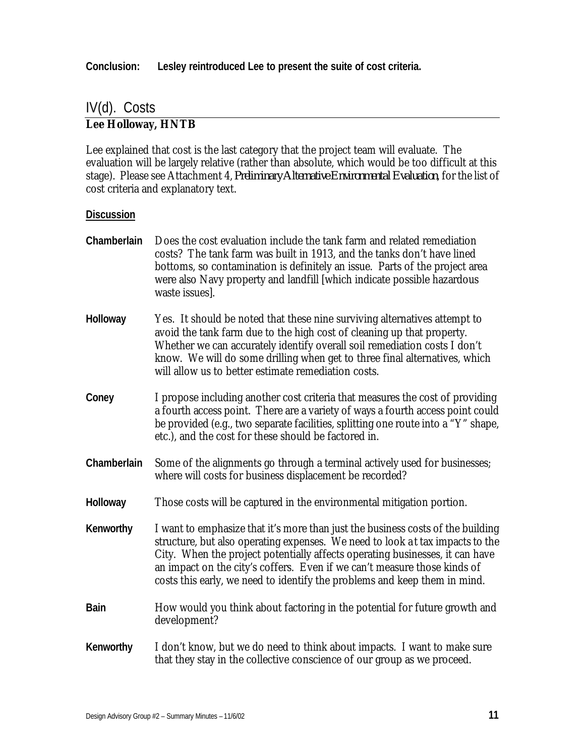**Conclusion: Lesley reintroduced Lee to present the suite of cost criteria.**

# IV(d). Costs

#### **Lee Holloway, HNTB**

Lee explained that cost is the last category that the project team will evaluate. The evaluation will be largely relative (rather than absolute, which would be too difficult at this stage). Please see Attachment 4, *Preliminary Alternative Environmental Evaluation*, for the list of cost criteria and explanatory text.

#### **Discussion**

**Chamberlain** Does the cost evaluation include the tank farm and related remediation costs? The tank farm was built in 1913, and the tanks don't have lined bottoms, so contamination is definitely an issue. Parts of the project area were also Navy property and landfill [which indicate possible hazardous waste issues]. **Holloway** Yes. It should be noted that these nine surviving alternatives attempt to avoid the tank farm due to the high cost of cleaning up that property. Whether we can accurately identify overall soil remediation costs I don't know. We will do some drilling when get to three final alternatives, which will allow us to better estimate remediation costs. **Coney** I propose including another cost criteria that measures the cost of providing a fourth access point. There are a variety of ways a fourth access point could be provided (e.g., two separate facilities, splitting one route into a "Y" shape, etc.), and the cost for these should be factored in. **Chamberlain** Some of the alignments go through a terminal actively used for businesses; where will costs for business displacement be recorded? **Holloway** Those costs will be captured in the environmental mitigation portion. **Kenworthy** I want to emphasize that it's more than just the business costs of the building structure, but also operating expenses. We need to look a t tax impacts to the City. When the project potentially affects operating businesses, it can have an impact on the city's coffers. Even if we can't measure those kinds of costs this early, we need to identify the problems and keep them in mind. **Bain** How would you think about factoring in the potential for future growth and development? **Kenworthy** I don't know, but we do need to think about impacts. I want to make sure that they stay in the collective conscience of our group as we proceed.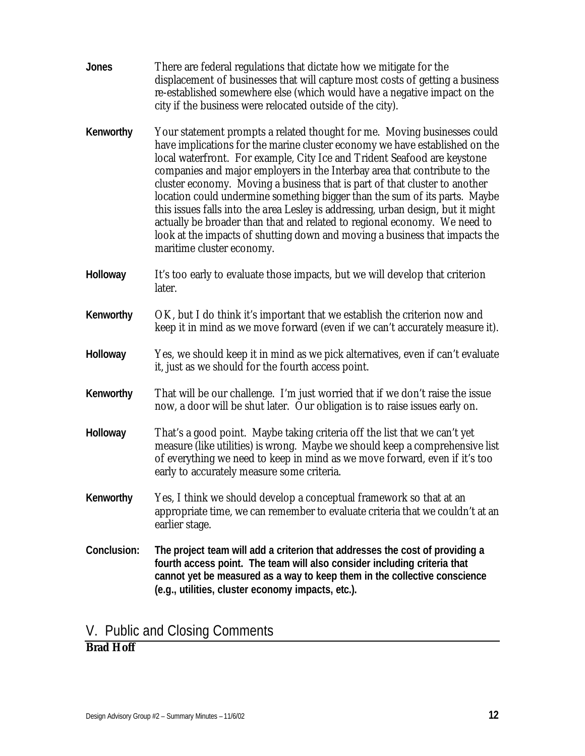**Jones** There are federal regulations that dictate how we mitigate for the displacement of businesses that will capture most costs of getting a business re-established somewhere else (which would have a negative impact on the city if the business were relocated outside of the city). **Kenworthy** Your statement prompts a related thought for me. Moving businesses could have implications for the marine cluster economy we have established on the local waterfront. For example, City Ice and Trident Seafood are keystone companies and major employers in the Interbay area that contribute to the cluster economy. Moving a business that is part of that cluster to another location could undermine something bigger than the sum of its parts. Maybe this issues falls into the area Lesley is addressing, urban design, but it might actually be broader than that and related to regional economy. We need to look at the impacts of shutting down and moving a business that impacts the maritime cluster economy. **Holloway** It's too early to evaluate those impacts, but we will develop that criterion later. **Kenworthy** OK, but I do think it's important that we establish the criterion now and keep it in mind as we move forward (even if we can't accurately measure it). **Holloway** Yes, we should keep it in mind as we pick alternatives, even if can't evaluate it, just as we should for the fourth access point. **Kenworthy** That will be our challenge. I'm just worried that if we don't raise the issue now, a door will be shut later. Our obligation is to raise issues early on. **Holloway** That's a good point. Maybe taking criteria off the list that we can't yet measure (like utilities) is wrong. Maybe we should keep a comprehensive list of everything we need to keep in mind as we move forward, even if it's too early to accurately measure some criteria. **Kenworthy** Yes, I think we should develop a conceptual framework so that at an appropriate time, we can remember to evaluate criteria that we couldn't at an earlier stage. **Conclusion: The project team will add a criterion that addresses the cost of providing a fourth access point. The team will also consider including criteria that cannot yet be measured as a way to keep them in the collective conscience (e.g., utilities, cluster economy impacts, etc.).**

### V. Public and Closing Comments

### **Brad Hoff**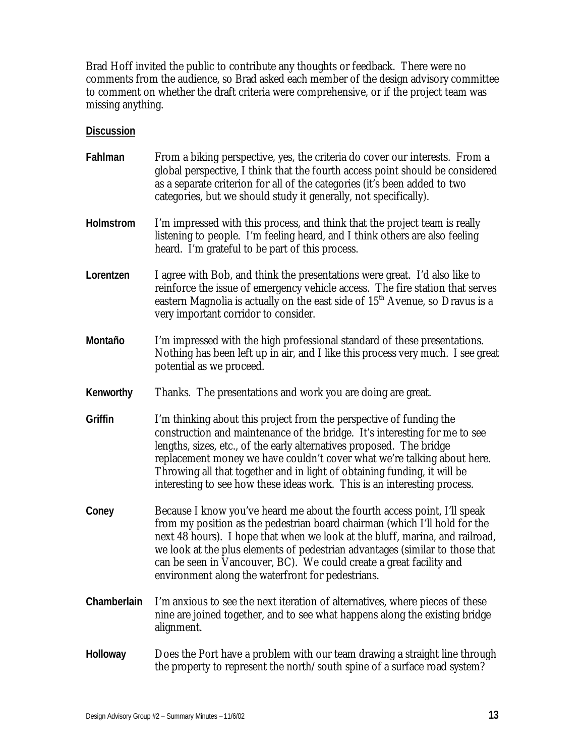Brad Hoff invited the public to contribute any thoughts or feedback. There were no comments from the audience, so Brad asked each member of the design advisory committee to comment on whether the draft criteria were comprehensive, or if the project team was missing anything.

| Fahlman          | From a biking perspective, yes, the criteria do cover our interests. From a<br>global perspective, I think that the fourth access point should be considered<br>as a separate criterion for all of the categories (it's been added to two<br>categories, but we should study it generally, not specifically).                                                                                                                                                |
|------------------|--------------------------------------------------------------------------------------------------------------------------------------------------------------------------------------------------------------------------------------------------------------------------------------------------------------------------------------------------------------------------------------------------------------------------------------------------------------|
| <b>Holmstrom</b> | I'm impressed with this process, and think that the project team is really<br>listening to people. I'm feeling heard, and I think others are also feeling<br>heard. I'm grateful to be part of this process.                                                                                                                                                                                                                                                 |
| Lorentzen        | I agree with Bob, and think the presentations were great. I'd also like to<br>reinforce the issue of emergency vehicle access. The fire station that serves<br>eastern Magnolia is actually on the east side of 15 <sup>th</sup> Avenue, so Dravus is a<br>very important corridor to consider.                                                                                                                                                              |
| Montaño          | I'm impressed with the high professional standard of these presentations.<br>Nothing has been left up in air, and I like this process very much. I see great<br>potential as we proceed.                                                                                                                                                                                                                                                                     |
| Kenworthy        | Thanks. The presentations and work you are doing are great.                                                                                                                                                                                                                                                                                                                                                                                                  |
| Griffin          | I'm thinking about this project from the perspective of funding the<br>construction and maintenance of the bridge. It's interesting for me to see<br>lengths, sizes, etc., of the early alternatives proposed. The bridge<br>replacement money we have couldn't cover what we're talking about here.<br>Throwing all that together and in light of obtaining funding, it will be<br>interesting to see how these ideas work. This is an interesting process. |
| Coney            | Because I know you've heard me about the fourth access point, I'll speak<br>from my position as the pedestrian board chairman (which I'll hold for the<br>next 48 hours). I hope that when we look at the bluff, marina, and railroad,<br>we look at the plus elements of pedestrian advantages (similar to those that<br>can be seen in Vancouver, BC). We could create a great facility and<br>environment along the waterfront for pedestrians.           |
| Chamberlain      | I'm anxious to see the next iteration of alternatives, where pieces of these<br>nine are joined together, and to see what happens along the existing bridge<br>alignment.                                                                                                                                                                                                                                                                                    |
| Holloway         | Does the Port have a problem with our team drawing a straight line through<br>the property to represent the north/south spine of a surface road system?                                                                                                                                                                                                                                                                                                      |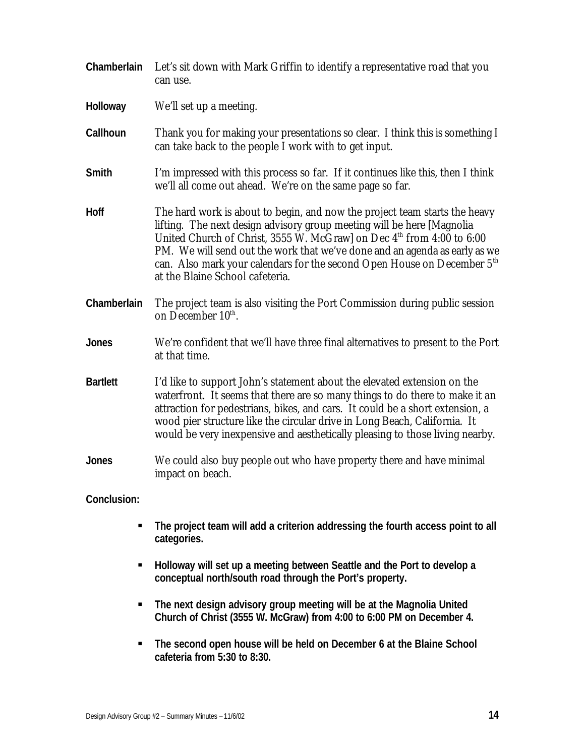| Chamberlain     | Let's sit down with Mark Griffin to identify a representative road that you<br>can use.                                                                                                                                                                                                                                                                                                                                                           |
|-----------------|---------------------------------------------------------------------------------------------------------------------------------------------------------------------------------------------------------------------------------------------------------------------------------------------------------------------------------------------------------------------------------------------------------------------------------------------------|
| Holloway        | We'll set up a meeting.                                                                                                                                                                                                                                                                                                                                                                                                                           |
| Callhoun        | Thank you for making your presentations so clear. I think this is something I<br>can take back to the people I work with to get input.                                                                                                                                                                                                                                                                                                            |
| Smith           | I'm impressed with this process so far. If it continues like this, then I think<br>we'll all come out ahead. We're on the same page so far.                                                                                                                                                                                                                                                                                                       |
| <b>Hoff</b>     | The hard work is about to begin, and now the project team starts the heavy<br>lifting. The next design advisory group meeting will be here [Magnolia<br>United Church of Christ, 3555 W. McGraw] on Dec 4 <sup>th</sup> from 4:00 to 6:00<br>PM. We will send out the work that we've done and an agenda as early as we<br>can. Also mark your calendars for the second Open House on December 5 <sup>th</sup><br>at the Blaine School cafeteria. |
| Chamberlain     | The project team is also visiting the Port Commission during public session<br>on December 10 <sup>th</sup> .                                                                                                                                                                                                                                                                                                                                     |
| <b>Jones</b>    | We're confident that we'll have three final alternatives to present to the Port<br>at that time.                                                                                                                                                                                                                                                                                                                                                  |
| <b>Bartlett</b> | I'd like to support John's statement about the elevated extension on the<br>waterfront. It seems that there are so many things to do there to make it an<br>attraction for pedestrians, bikes, and cars. It could be a short extension, a<br>wood pier structure like the circular drive in Long Beach, California. It<br>would be very inexpensive and aesthetically pleasing to those living nearby.                                            |
| Jones           | We could also buy people out who have property there and have minimal<br>impact on beach.                                                                                                                                                                                                                                                                                                                                                         |
| Conclusion:     |                                                                                                                                                                                                                                                                                                                                                                                                                                                   |
|                 | The project team will add a criterion addressing the fourth access point to all<br>categories.                                                                                                                                                                                                                                                                                                                                                    |
| ٠               | Holloway will set up a meeting between Seattle and the Port to develop a<br>conceptual north/south road through the Port's property.                                                                                                                                                                                                                                                                                                              |
| ш               | The next design advisory group meeting will be at the Magnolia United<br>Church of Christ (3555 W. McGraw) from 4:00 to 6:00 PM on December 4.                                                                                                                                                                                                                                                                                                    |

**The second open house will be held on December 6 at the Blaine School cafeteria from 5:30 to 8:30.**